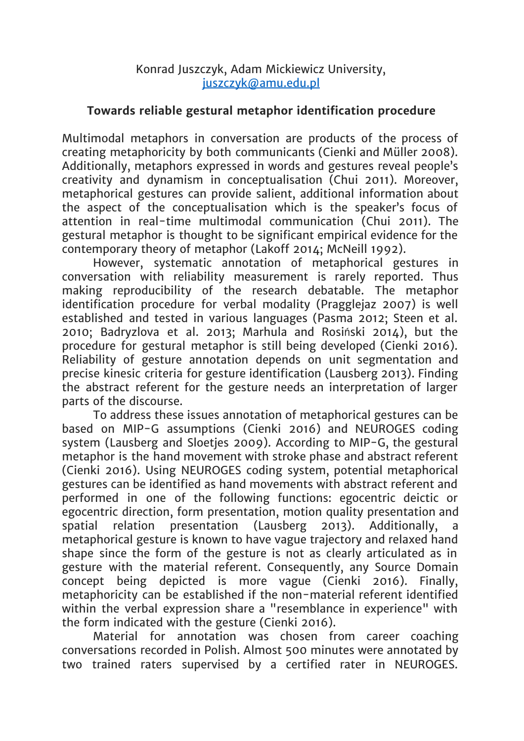## **Towards reliable gestural metaphor identification procedure**

Multimodal metaphors in conversation are products of the process of creating metaphoricity by both communicants (Cienki and Müller 2008). Additionally, metaphors expressed in words and gestures reveal people's creativity and dynamism in conceptualisation (Chui 2011). Moreover, metaphorical gestures can provide salient, additional information about the aspect of the conceptualisation which is the speaker's focus of attention in real-time multimodal communication (Chui 2011). The gestural metaphor is thought to be significant empirical evidence for the contemporary theory of metaphor (Lakoff 2014; McNeill 1992).

However, systematic annotation of metaphorical gestures in conversation with reliability measurement is rarely reported. Thus making reproducibility of the research debatable. The metaphor identification procedure for verbal modality (Pragglejaz 2007) is well established and tested in various languages (Pasma 2012; Steen et al. 2010; Badryzlova et al. 2013; Marhula and Rosiński 2014), but the procedure for gestural metaphor is still being developed (Cienki 2016). Reliability of gesture annotation depends on unit segmentation and precise kinesic criteria for gesture identification (Lausberg 2013). Finding the abstract referent for the gesture needs an interpretation of larger parts of the discourse.

To address these issues annotation of metaphorical gestures can be based on MIP-G assumptions (Cienki 2016) and NEUROGES coding system (Lausberg and Sloetjes 2009). According to MIP-G, the gestural metaphor is the hand movement with stroke phase and abstract referent (Cienki 2016). Using NEUROGES coding system, potential metaphorical gestures can be identified as hand movements with abstract referent and performed in one of the following functions: egocentric deictic or egocentric direction, form presentation, motion quality presentation and spatial relation presentation (Lausberg 2013). Additionally, metaphorical gesture is known to have vague trajectory and relaxed hand shape since the form of the gesture is not as clearly articulated as in gesture with the material referent. Consequently, any Source Domain concept being depicted is more vague (Cienki 2016). Finally, metaphoricity can be established if the non-material referent identified within the verbal expression share a "resemblance in experience" with the form indicated with the gesture (Cienki 2016).

Material for annotation was chosen from career coaching conversations recorded in Polish. Almost 500 minutes were annotated by two trained raters supervised by a certified rater in NEUROGES.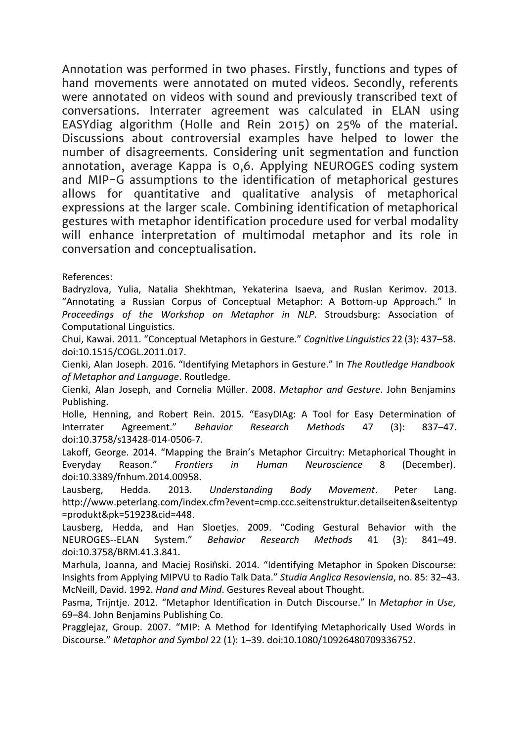Annotation was performed in two phases. Firstly, functions and types of hand movements were annotated on muted videos. Secondly, referents were annotated on videos with sound and previously transcribed text of conversations. Interrater agreement was calculated in ELAN using EASYdiag algorithm (Holle and Rein 2015) on 25% of the material. Discussions about controversial examples have helped to lower the number of disagreements. Considering unit segmentation and function annotation, average Kappa is 0,6. Applying NEUROGES coding system and MIP-G assumptions to the identification of metaphorical gestures allows for quantitative and qualitative analysis of metaphorical expressions at the larger scale. Combining identification of metaphorical gestures with metaphor identification procedure used for verbal modality will enhance interpretation of multimodal metaphor and its role in conversation and conceptualisation.

References:

Badryzlova, Yulia, Natalia Shekhtman, Yekaterina Isaeva, and Ruslan Kerimov. 2013. "Annotating a Russian Corpus of Conceptual Metaphor: A Bottom-up Approach." In *Proceedings of the Workshop on Metaphor in NLP*. Stroudsburg: Association of Computational Linguistics.

Chui, Kawai. 2011. "Conceptual Metaphors in Gesture." *Cognitive Linguistics* 22 (3): 437–58. doi:10.1515/COGL.2011.017.

Cienki, Alan Joseph. 2016. "Identifying Metaphors in Gesture." In *The Routledge Handbook of Metaphor and Language*. Routledge.

Cienki, Alan Joseph, and Cornelia Müller. 2008. *Metaphor and Gesture*. John Benjamins Publishing.

Holle, Henning, and Robert Rein. 2015. "EasyDIAg: A Tool for Easy Determination of Interrater Agreement." *Behavior Research Methods* 47 (3): 837–47. doi:10.3758/s13428-014-0506-7.

Lakoff, George. 2014. "Mapping the Brain's Metaphor Circuitry: Metaphorical Thought in Everyday Reason." *Frontiers in Human Neuroscience* 8 (December). doi:10.3389/fnhum.2014.00958.

Lausberg, Hedda. 2013. *Understanding Body Movement*. Peter Lang. http://www.peterlang.com/index.cfm?event=cmp.ccc.seitenstruktur.detailseiten&seitentyp =produkt&pk=51923&cid=448.

Lausberg, Hedda, and Han Sloetjes. 2009. "Coding Gestural Behavior with the NEUROGESELAN System." *Behavior Research Methods* 41 (3): 841–49. doi:10.3758/BRM.41.3.841.

Marhula, Joanna, and Maciej Rosiński. 2014. "Identifying Metaphor in Spoken Discourse: Insights from Applying MIPVU to Radio Talk Data." *Studia Anglica Resoviensia*, no. 85: 32–43. McNeill, David. 1992. *Hand and Mind*. Gestures Reveal about Thought.

Pasma, Trijntje. 2012. "Metaphor Identification in Dutch Discourse." In *Metaphor in Use*, 69–84. John Benjamins Publishing Co.

Pragglejaz, Group. 2007. "MIP: A Method for Identifying Metaphorically Used Words in Discourse." *Metaphor and Symbol* 22 (1): 1–39. doi:10.1080/10926480709336752.